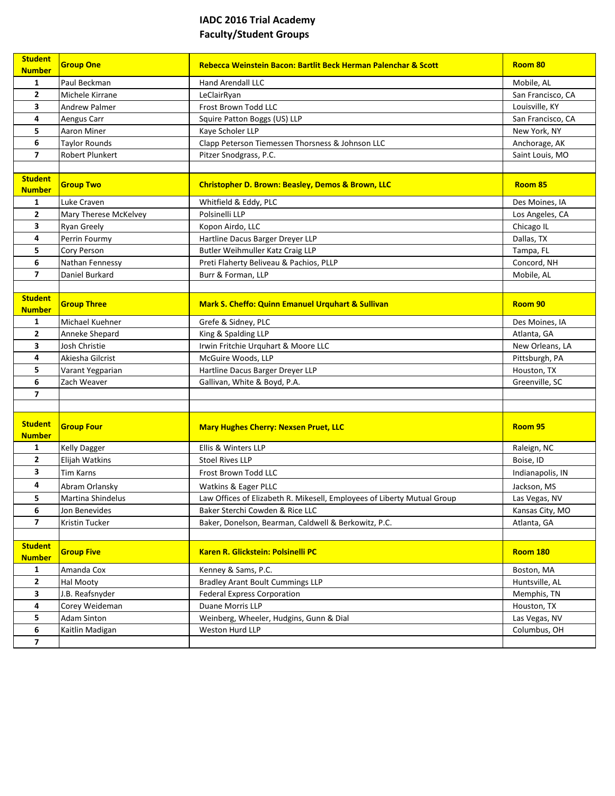## **IADC 2016 Trial Academy Faculty/Student Groups**

| <b>Student</b><br><b>Number</b> | <b>Group One</b>      | Rebecca Weinstein Bacon: Bartlit Beck Herman Palenchar & Scott          | Room 80           |
|---------------------------------|-----------------------|-------------------------------------------------------------------------|-------------------|
| 1                               | Paul Beckman          | <b>Hand Arendall LLC</b>                                                | Mobile, AL        |
| 2                               | Michele Kirrane       | LeClairRyan                                                             | San Francisco, CA |
| 3                               | Andrew Palmer         | Frost Brown Todd LLC                                                    | Louisville, KY    |
| 4                               | Aengus Carr           | Squire Patton Boggs (US) LLP                                            | San Francisco, CA |
| 5                               | Aaron Miner           | Kaye Scholer LLP                                                        | New York, NY      |
| 6                               | Taylor Rounds         | Clapp Peterson Tiemessen Thorsness & Johnson LLC                        | Anchorage, AK     |
| $\overline{ }$                  | Robert Plunkert       | Pitzer Snodgrass, P.C.                                                  | Saint Louis, MO   |
|                                 |                       |                                                                         |                   |
| <b>Student</b><br><b>Number</b> | <b>Group Two</b>      | <b>Christopher D. Brown: Beasley, Demos &amp; Brown, LLC</b>            | Room 85           |
| 1                               | Luke Craven           | Whitfield & Eddy, PLC                                                   | Des Moines, IA    |
| $\mathbf{2}$                    | Mary Therese McKelvey | Polsinelli LLP                                                          | Los Angeles, CA   |
| 3                               | <b>Ryan Greely</b>    | Kopon Airdo, LLC                                                        | Chicago IL        |
| 4                               | Perrin Fourmy         | Hartline Dacus Barger Dreyer LLP                                        | Dallas, TX        |
| 5                               | Cory Person           | Butler Weihmuller Katz Craig LLP                                        | Tampa, FL         |
| 6                               | Nathan Fennessy       | Preti Flaherty Beliveau & Pachios, PLLP                                 | Concord, NH       |
| $\overline{7}$                  | Daniel Burkard        | Burr & Forman, LLP                                                      | Mobile, AL        |
|                                 |                       |                                                                         |                   |
| <b>Student</b>                  | <b>Group Three</b>    | <b>Mark S. Cheffo: Quinn Emanuel Urguhart &amp; Sullivan</b>            |                   |
| <b>Number</b>                   |                       |                                                                         | Room 90           |
| 1                               | Michael Kuehner       | Grefe & Sidney, PLC                                                     | Des Moines, IA    |
| $\mathbf{2}$                    | Anneke Shepard        | King & Spalding LLP                                                     | Atlanta, GA       |
| 3                               | Josh Christie         | Irwin Fritchie Urquhart & Moore LLC                                     | New Orleans, LA   |
| 4                               | Akiesha Gilcrist      | McGuire Woods, LLP                                                      | Pittsburgh, PA    |
| 5                               | Varant Yegparian      | Hartline Dacus Barger Dreyer LLP                                        | Houston, TX       |
| 6                               | Zach Weaver           | Gallivan, White & Boyd, P.A.                                            | Greenville, SC    |
| $\overline{\mathbf{z}}$         |                       |                                                                         |                   |
|                                 |                       |                                                                         |                   |
| <b>Student</b>                  | <b>Group Four</b>     |                                                                         | Room 95           |
| <b>Number</b>                   |                       | <b>Mary Hughes Cherry: Nexsen Pruet, LLC</b>                            |                   |
| 1                               | <b>Kelly Dagger</b>   | Ellis & Winters LLP                                                     | Raleign, NC       |
| 2                               | Elijah Watkins        | <b>Stoel Rives LLP</b>                                                  | Boise, ID         |
| 3                               | <b>Tim Karns</b>      | Frost Brown Todd LLC                                                    | Indianapolis, IN  |
| 4                               | Abram Orlansky        | Watkins & Eager PLLC                                                    | Jackson, MS       |
| 5                               | Martina Shindelus     | Law Offices of Elizabeth R. Mikesell, Employees of Liberty Mutual Group | Las Vegas, NV     |
| 6                               | Jon Benevides         | Baker Sterchi Cowden & Rice LLC                                         | Kansas City, MO   |
| $\overline{7}$                  | Kristin Tucker        | Baker, Donelson, Bearman, Caldwell & Berkowitz, P.C.                    | Atlanta, GA       |
|                                 |                       |                                                                         |                   |
| <b>Student</b>                  | <b>Group Five</b>     | Karen R. Glickstein: Polsinelli PC                                      | <b>Room 180</b>   |
| <b>Number</b>                   |                       |                                                                         |                   |
| 1                               | Amanda Cox            | Kenney & Sams, P.C.                                                     | Boston, MA        |
| $\mathbf{2}$                    | Hal Mooty             | <b>Bradley Arant Boult Cummings LLP</b>                                 | Huntsville, AL    |
| 3                               | J.B. Reafsnyder       | <b>Federal Express Corporation</b>                                      | Memphis, TN       |
| 4                               | Corey Weideman        | Duane Morris LLP                                                        | Houston, TX       |
| 5                               | <b>Adam Sinton</b>    | Weinberg, Wheeler, Hudgins, Gunn & Dial                                 | Las Vegas, NV     |
| 6                               | Kaitlin Madigan       | Weston Hurd LLP                                                         | Columbus, OH      |
| $\overline{\mathbf{z}}$         |                       |                                                                         |                   |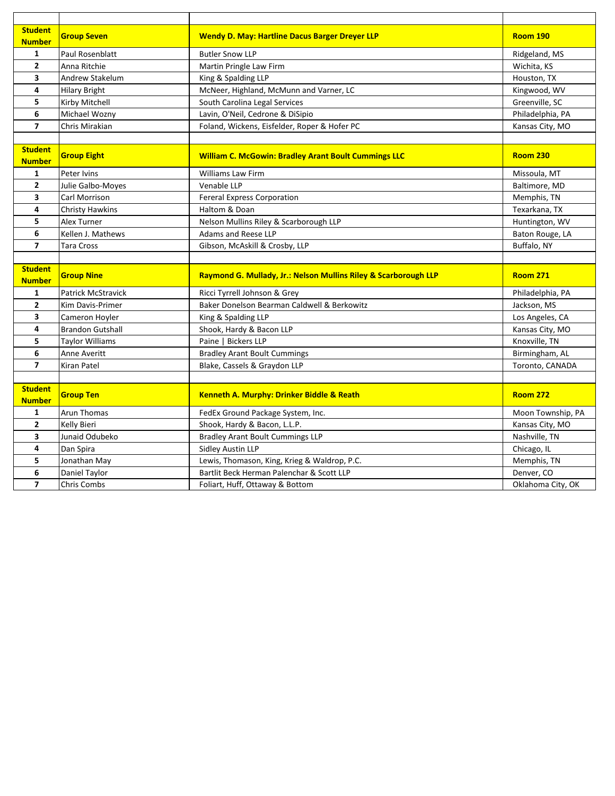| <b>Student</b><br><b>Number</b> | <b>Group Seven</b>        | <b>Wendy D. May: Hartline Dacus Barger Dreyer LLP</b>           | <b>Room 190</b>                 |
|---------------------------------|---------------------------|-----------------------------------------------------------------|---------------------------------|
| $\mathbf{1}$                    | Paul Rosenblatt           | <b>Butler Snow LLP</b>                                          | Ridgeland, MS                   |
| $\mathbf{2}$                    | Anna Ritchie              | Martin Pringle Law Firm                                         | Wichita, KS                     |
| 3                               | <b>Andrew Stakelum</b>    | King & Spalding LLP                                             | Houston, TX                     |
| 4                               | <b>Hilary Bright</b>      | McNeer, Highland, McMunn and Varner, LC                         | Kingwood, WV                    |
| 5                               | Kirby Mitchell            | South Carolina Legal Services                                   | Greenville, SC                  |
| 6                               | Michael Wozny             | Lavin, O'Neil, Cedrone & DiSipio                                | Philadelphia, PA                |
| $\overline{7}$                  | Chris Mirakian            | Foland, Wickens, Eisfelder, Roper & Hofer PC                    | Kansas City, MO                 |
|                                 |                           |                                                                 |                                 |
| <b>Student</b><br><b>Number</b> | <b>Group Eight</b>        | <b>William C. McGowin: Bradley Arant Boult Cummings LLC</b>     | <b>Room 230</b>                 |
| 1                               | Peter Ivins               | <b>Williams Law Firm</b>                                        | Missoula, MT                    |
| $\mathbf{2}$                    | Julie Galbo-Moyes         | Venable LLP                                                     | Baltimore, MD                   |
| 3                               | Carl Morrison             | <b>Fereral Express Corporation</b>                              | Memphis, TN                     |
| 4                               | <b>Christy Hawkins</b>    | Haltom & Doan                                                   | Texarkana, TX                   |
| 5                               | Alex Turner               | Nelson Mullins Riley & Scarborough LLP                          | Huntington, WV                  |
| 6                               | Kellen J. Mathews         | Adams and Reese LLP                                             | Baton Rouge, LA                 |
| $\overline{7}$                  | <b>Tara Cross</b>         | Gibson, McAskill & Crosby, LLP                                  | Buffalo, NY                     |
|                                 |                           |                                                                 |                                 |
|                                 |                           |                                                                 |                                 |
| <b>Student</b><br><b>Number</b> | <b>Group Nine</b>         | Raymond G. Mullady, Jr.: Nelson Mullins Riley & Scarborough LLP | <b>Room 271</b>                 |
| $\mathbf{1}$                    | <b>Patrick McStravick</b> | Ricci Tyrrell Johnson & Grey                                    | Philadelphia, PA                |
| $\overline{2}$                  | Kim Davis-Primer          | Baker Donelson Bearman Caldwell & Berkowitz                     | Jackson, MS                     |
| 3                               | Cameron Hoyler            | King & Spalding LLP                                             | Los Angeles, CA                 |
| 4                               | <b>Brandon Gutshall</b>   | Shook, Hardy & Bacon LLP                                        | Kansas City, MO                 |
| 5                               | <b>Taylor Williams</b>    | Paine   Bickers LLP                                             | Knoxville, TN                   |
| 6                               | Anne Averitt              | <b>Bradley Arant Boult Cummings</b>                             | Birmingham, AL                  |
| $\overline{7}$                  | <b>Kiran Patel</b>        | Blake, Cassels & Graydon LLP                                    | Toronto, CANADA                 |
|                                 |                           |                                                                 |                                 |
| <b>Student</b><br><b>Number</b> | <b>Group Ten</b>          | Kenneth A. Murphy: Drinker Biddle & Reath                       | <b>Room 272</b>                 |
| 1                               | Arun Thomas               | FedEx Ground Package System, Inc.                               | Moon Township, PA               |
| 2                               | Kelly Bieri               | Shook, Hardy & Bacon, L.L.P.                                    | Kansas City, MO                 |
| 3                               | Junaid Odubeko            | <b>Bradley Arant Boult Cummings LLP</b>                         | Nashville, TN                   |
| 4                               | Dan Spira                 | Sidley Austin LLP                                               | Chicago, IL                     |
| 5                               | Jonathan May              | Lewis, Thomason, King, Krieg & Waldrop, P.C.                    | Memphis, TN                     |
| 6<br>$\overline{7}$             | Daniel Taylor             | Bartlit Beck Herman Palenchar & Scott LLP                       | Denver, CO<br>Oklahoma City, OK |